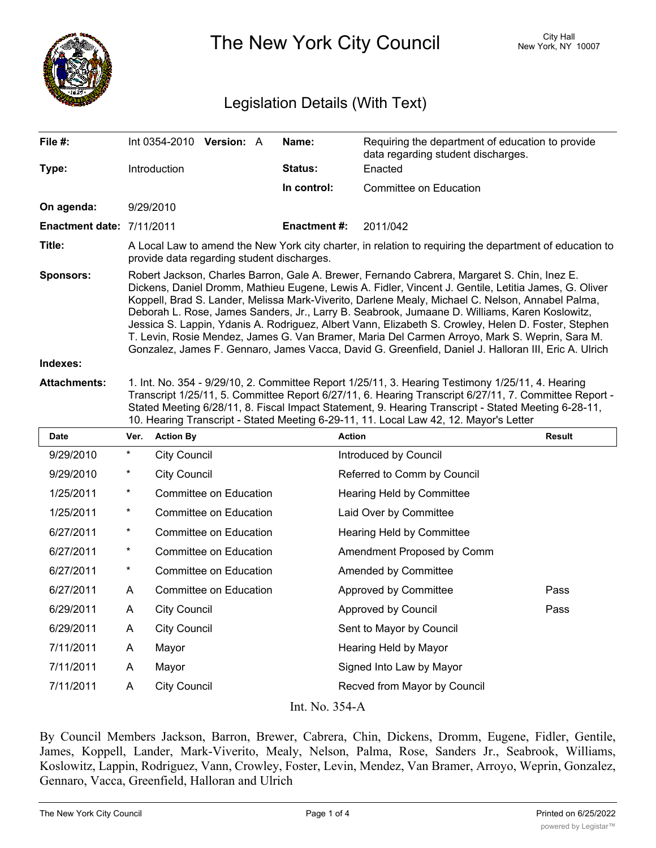

The New York City Council New York, NY 10007

## Legislation Details (With Text)

| File #:                   | Int 0354-2010 Version: A                                                                                                                                                                                                                                                                                                                                                                                                                                                                                                                                                                                                                                                                                                 |  |  | Name:               | Requiring the department of education to provide<br>data regarding student discharges. |  |  |
|---------------------------|--------------------------------------------------------------------------------------------------------------------------------------------------------------------------------------------------------------------------------------------------------------------------------------------------------------------------------------------------------------------------------------------------------------------------------------------------------------------------------------------------------------------------------------------------------------------------------------------------------------------------------------------------------------------------------------------------------------------------|--|--|---------------------|----------------------------------------------------------------------------------------|--|--|
| Type:                     | Introduction                                                                                                                                                                                                                                                                                                                                                                                                                                                                                                                                                                                                                                                                                                             |  |  | Status:             | Enacted                                                                                |  |  |
|                           |                                                                                                                                                                                                                                                                                                                                                                                                                                                                                                                                                                                                                                                                                                                          |  |  | In control:         | Committee on Education                                                                 |  |  |
| On agenda:                | 9/29/2010                                                                                                                                                                                                                                                                                                                                                                                                                                                                                                                                                                                                                                                                                                                |  |  |                     |                                                                                        |  |  |
| Enactment date: 7/11/2011 |                                                                                                                                                                                                                                                                                                                                                                                                                                                                                                                                                                                                                                                                                                                          |  |  | <b>Enactment #:</b> | 2011/042                                                                               |  |  |
| Title:                    | A Local Law to amend the New York city charter, in relation to requiring the department of education to<br>provide data regarding student discharges.                                                                                                                                                                                                                                                                                                                                                                                                                                                                                                                                                                    |  |  |                     |                                                                                        |  |  |
| Sponsors:                 | Robert Jackson, Charles Barron, Gale A. Brewer, Fernando Cabrera, Margaret S. Chin, Inez E.<br>Dickens, Daniel Dromm, Mathieu Eugene, Lewis A. Fidler, Vincent J. Gentile, Letitia James, G. Oliver<br>Koppell, Brad S. Lander, Melissa Mark-Viverito, Darlene Mealy, Michael C. Nelson, Annabel Palma,<br>Deborah L. Rose, James Sanders, Jr., Larry B. Seabrook, Jumaane D. Williams, Karen Koslowitz,<br>Jessica S. Lappin, Ydanis A. Rodriguez, Albert Vann, Elizabeth S. Crowley, Helen D. Foster, Stephen<br>T. Levin, Rosie Mendez, James G. Van Bramer, Maria Del Carmen Arroyo, Mark S. Weprin, Sara M.<br>Gonzalez, James F. Gennaro, James Vacca, David G. Greenfield, Daniel J. Halloran III, Eric A. Ulrich |  |  |                     |                                                                                        |  |  |
| Indexes:                  |                                                                                                                                                                                                                                                                                                                                                                                                                                                                                                                                                                                                                                                                                                                          |  |  |                     |                                                                                        |  |  |

**Attachments:** 1. Int. No. 354 - 9/29/10, 2. Committee Report 1/25/11, 3. Hearing Testimony 1/25/11, 4. Hearing Transcript 1/25/11, 5. Committee Report 6/27/11, 6. Hearing Transcript 6/27/11, 7. Committee Report - Stated Meeting 6/28/11, 8. Fiscal Impact Statement, 9. Hearing Transcript - Stated Meeting 6-28-11, 10. Hearing Transcript - Stated Meeting 6-29-11, 11. Local Law 42, 12. Mayor's Letter

| Date      | Ver.           | <b>Action By</b>       | <b>Action</b>                | <b>Result</b> |  |  |  |  |
|-----------|----------------|------------------------|------------------------------|---------------|--|--|--|--|
| 9/29/2010 | $^\star$       | <b>City Council</b>    | Introduced by Council        |               |  |  |  |  |
| 9/29/2010 | $^\star$       | <b>City Council</b>    | Referred to Comm by Council  |               |  |  |  |  |
| 1/25/2011 | $^\star$       | Committee on Education | Hearing Held by Committee    |               |  |  |  |  |
| 1/25/2011 | $^\ast$        | Committee on Education | Laid Over by Committee       |               |  |  |  |  |
| 6/27/2011 | $^\star$       | Committee on Education | Hearing Held by Committee    |               |  |  |  |  |
| 6/27/2011 | $\ast$         | Committee on Education | Amendment Proposed by Comm   |               |  |  |  |  |
| 6/27/2011 | $^\star$       | Committee on Education | Amended by Committee         |               |  |  |  |  |
| 6/27/2011 | A              | Committee on Education | Approved by Committee        | Pass          |  |  |  |  |
| 6/29/2011 | A              | <b>City Council</b>    | Approved by Council          | Pass          |  |  |  |  |
| 6/29/2011 | A              | <b>City Council</b>    | Sent to Mayor by Council     |               |  |  |  |  |
| 7/11/2011 | A              | Mayor                  | Hearing Held by Mayor        |               |  |  |  |  |
| 7/11/2011 | A              | Mayor                  | Signed Into Law by Mayor     |               |  |  |  |  |
| 7/11/2011 | A              | <b>City Council</b>    | Recved from Mayor by Council |               |  |  |  |  |
|           | Int. No. 354-A |                        |                              |               |  |  |  |  |

By Council Members Jackson, Barron, Brewer, Cabrera, Chin, Dickens, Dromm, Eugene, Fidler, Gentile, James, Koppell, Lander, Mark-Viverito, Mealy, Nelson, Palma, Rose, Sanders Jr., Seabrook, Williams, Koslowitz, Lappin, Rodriguez, Vann, Crowley, Foster, Levin, Mendez, Van Bramer, Arroyo, Weprin, Gonzalez, Gennaro, Vacca, Greenfield, Halloran and Ulrich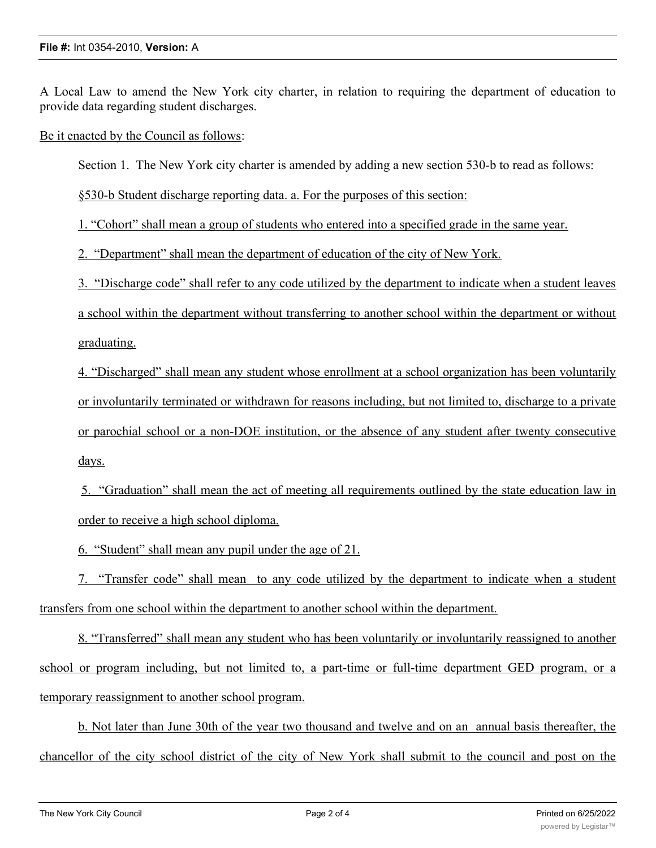A Local Law to amend the New York city charter, in relation to requiring the department of education to provide data regarding student discharges.

Be it enacted by the Council as follows:

Section 1. The New York city charter is amended by adding a new section 530-b to read as follows:

§530-b Student discharge reporting data. a. For the purposes of this section:

1. "Cohort" shall mean a group of students who entered into a specified grade in the same year.

2. "Department" shall mean the department of education of the city of New York.

3. "Discharge code" shall refer to any code utilized by the department to indicate when a student leaves

a school within the department without transferring to another school within the department or without graduating.

4. "Discharged" shall mean any student whose enrollment at a school organization has been voluntarily or involuntarily terminated or withdrawn for reasons including, but not limited to, discharge to a private or parochial school or a non-DOE institution, or the absence of any student after twenty consecutive days.

5. "Graduation" shall mean the act of meeting all requirements outlined by the state education law in order to receive a high school diploma.

6. "Student" shall mean any pupil under the age of 21.

7. "Transfer code" shall mean to any code utilized by the department to indicate when a student transfers from one school within the department to another school within the department.

8. "Transferred" shall mean any student who has been voluntarily or involuntarily reassigned to another school or program including, but not limited to, a part-time or full-time department GED program, or a temporary reassignment to another school program.

b. Not later than June 30th of the year two thousand and twelve and on an annual basis thereafter, the chancellor of the city school district of the city of New York shall submit to the council and post on the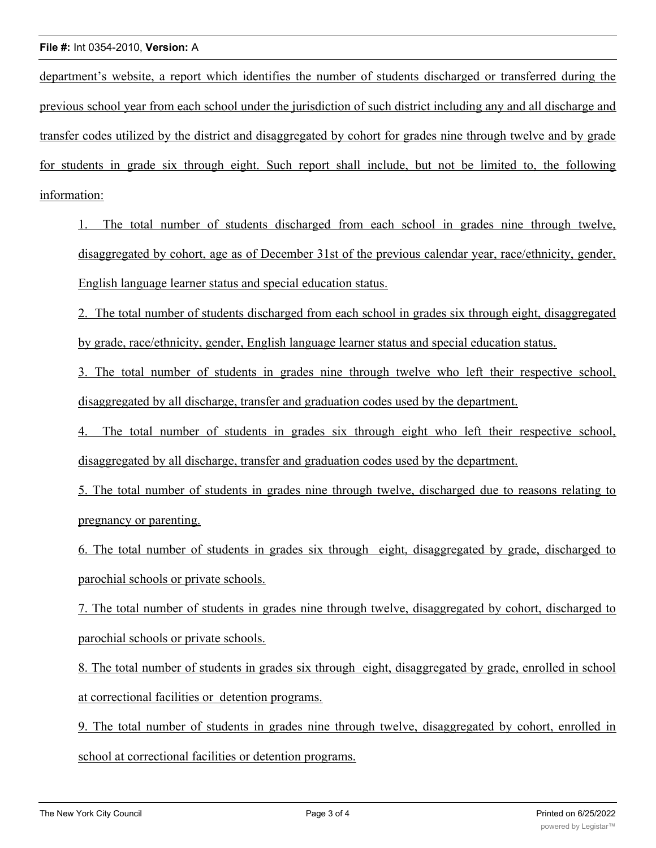department's website, a report which identifies the number of students discharged or transferred during the previous school year from each school under the jurisdiction of such district including any and all discharge and transfer codes utilized by the district and disaggregated by cohort for grades nine through twelve and by grade for students in grade six through eight. Such report shall include, but not be limited to, the following information:

1. The total number of students discharged from each school in grades nine through twelve, disaggregated by cohort, age as of December 31st of the previous calendar year, race/ethnicity, gender, English language learner status and special education status.

2. The total number of students discharged from each school in grades six through eight, disaggregated by grade, race/ethnicity, gender, English language learner status and special education status.

3. The total number of students in grades nine through twelve who left their respective school, disaggregated by all discharge, transfer and graduation codes used by the department.

4. The total number of students in grades six through eight who left their respective school, disaggregated by all discharge, transfer and graduation codes used by the department.

5. The total number of students in grades nine through twelve, discharged due to reasons relating to pregnancy or parenting.

6. The total number of students in grades six through eight, disaggregated by grade, discharged to parochial schools or private schools.

7. The total number of students in grades nine through twelve, disaggregated by cohort, discharged to parochial schools or private schools.

8. The total number of students in grades six through eight, disaggregated by grade, enrolled in school at correctional facilities or detention programs.

9. The total number of students in grades nine through twelve, disaggregated by cohort, enrolled in school at correctional facilities or detention programs.